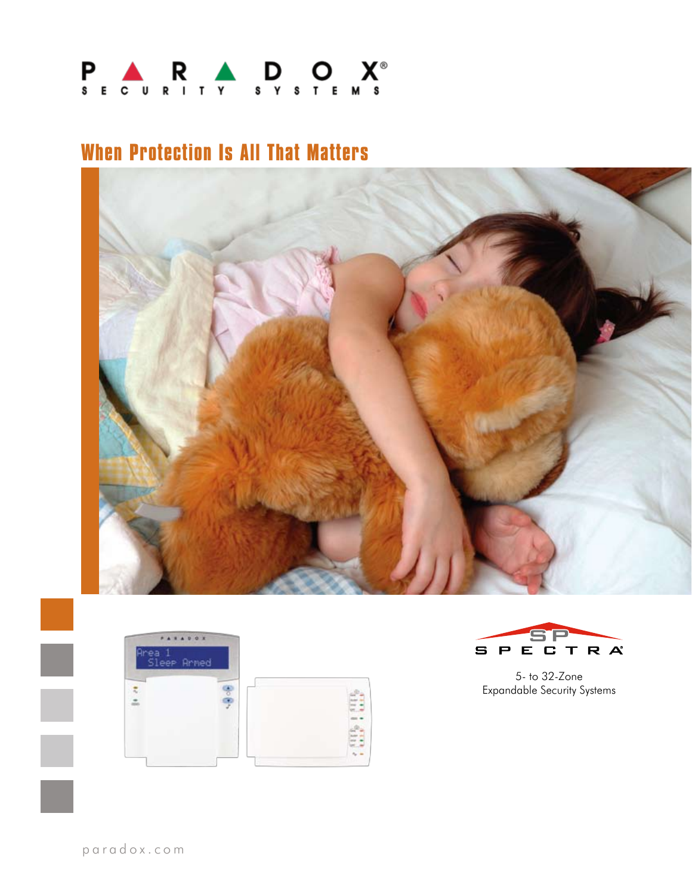

# **When Protection Is All That Matters**







5- to 32-Zone Expandable Security Systems